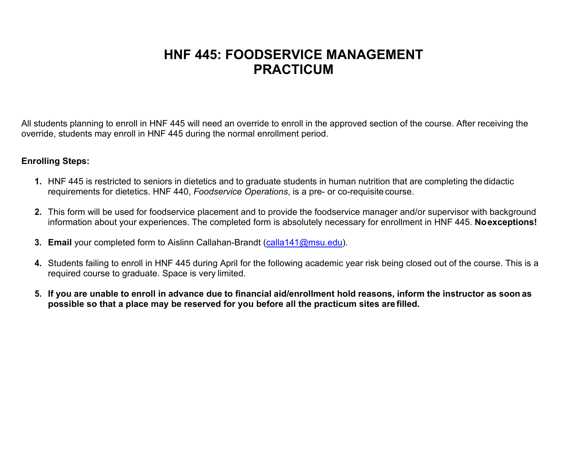## **HNF 445: FOODSERVICE MANAGEMENT PRACTICUM**

All students planning to enroll in HNF 445 will need an override to enroll in the approved section of the course. After receiving the override, students may enroll in HNF 445 during the normal enrollment period.

## **Enrolling Steps:**

- **1.** HNF 445 is restricted to seniors in dietetics and to graduate students in human nutrition that are completing the didactic requirements for dietetics. HNF 440, *Foodservice Operations*, is a pre- or co-requisite course.
- **2.** This form will be used for foodservice placement and to provide the foodservice manager and/or supervisor with background information about your experiences. The completed form is absolutely necessary for enrollment in HNF 445. **Noexceptions!**
- **3. Email** your completed form to Aislinn Callahan-Brandt [\(calla141@msu.edu\)](mailto:calla141@msu.edu).
- **4.** Students failing to enroll in HNF 445 during April for the following academic year risk being closed out of the course. This is a required course to graduate. Space is very limited.
- 5. If you are unable to enroll in advance due to financial aid/enrollment hold reasons, inform the instructor as soon as **possible so that a place may be reserved for you before all the practicum sites are filled.**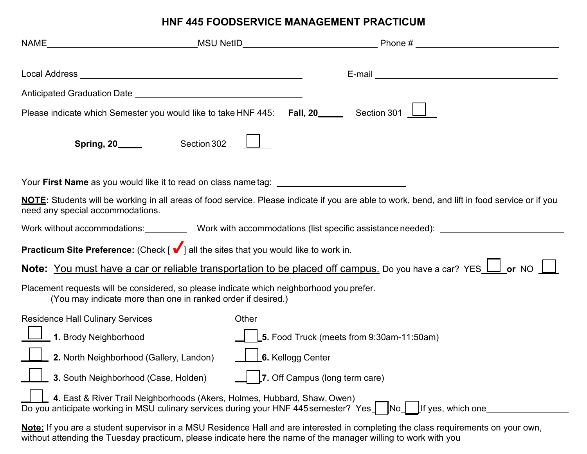## **HNF 445 FOODSERVICE MANAGEMENT PRACTICUM**

| Local Address National Address National Address National Address National Address National Address N                                                                                          |                                | E-mail experience and the service of the service of the service of the service of the service of the service of the service of the service of the service of the service of the service of the service of the service of the s |  |  |
|-----------------------------------------------------------------------------------------------------------------------------------------------------------------------------------------------|--------------------------------|--------------------------------------------------------------------------------------------------------------------------------------------------------------------------------------------------------------------------------|--|--|
|                                                                                                                                                                                               |                                |                                                                                                                                                                                                                                |  |  |
| Please indicate which Semester you would like to take HNF 445: Fall, $20$ _____ Section 301 $\Box$                                                                                            |                                |                                                                                                                                                                                                                                |  |  |
| Section 302<br><b>Spring, 20_____</b>                                                                                                                                                         |                                |                                                                                                                                                                                                                                |  |  |
|                                                                                                                                                                                               |                                |                                                                                                                                                                                                                                |  |  |
| NOTE: Students will be working in all areas of food service. Please indicate if you are able to work, bend, and lift in food service or if you<br>need any special accommodations.            |                                |                                                                                                                                                                                                                                |  |  |
|                                                                                                                                                                                               |                                | Work without accommodations: Work with accommodations (list specific assistance needed): _____________________                                                                                                                 |  |  |
| <b>Practicum Site Preference:</b> (Check $\left[\sqrt{\phantom{0}}\right]$ all the sites that you would like to work in.                                                                      |                                |                                                                                                                                                                                                                                |  |  |
| Note: You must have a car or reliable transportation to be placed off campus. Do you have a car? YES II or NO                                                                                 |                                |                                                                                                                                                                                                                                |  |  |
| Placement requests will be considered, so please indicate which neighborhood you prefer.<br>(You may indicate more than one in ranked order if desired.)                                      |                                |                                                                                                                                                                                                                                |  |  |
| <b>Residence Hall Culinary Services</b>                                                                                                                                                       | Other                          |                                                                                                                                                                                                                                |  |  |
| 1. Brody Neighborhood                                                                                                                                                                         |                                | 5. Food Truck (meets from 9:30am-11:50am)                                                                                                                                                                                      |  |  |
| 2. North Neighborhood (Gallery, Landon)                                                                                                                                                       | 6. Kellogg Center              |                                                                                                                                                                                                                                |  |  |
| 3. South Neighborhood (Case, Holden)                                                                                                                                                          | 7. Off Campus (long term care) |                                                                                                                                                                                                                                |  |  |
| 4. East & River Trail Neighborhoods (Akers, Holmes, Hubbard, Shaw, Owen)<br>Do you anticipate working in MSU culinary services during your HNF 445 semester? Yes<br>If yes, which one<br>INO. |                                |                                                                                                                                                                                                                                |  |  |
| Note: If you are a student supervisor in a MSU Residence Hall and are interested in completing the class requirements on your own,                                                            |                                |                                                                                                                                                                                                                                |  |  |

without attending the Tuesday practicum, please indicate here the name of the manager willing to work with you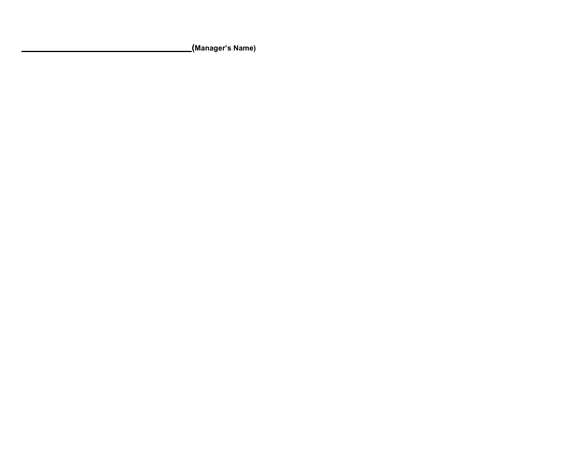**(Manager's Name)**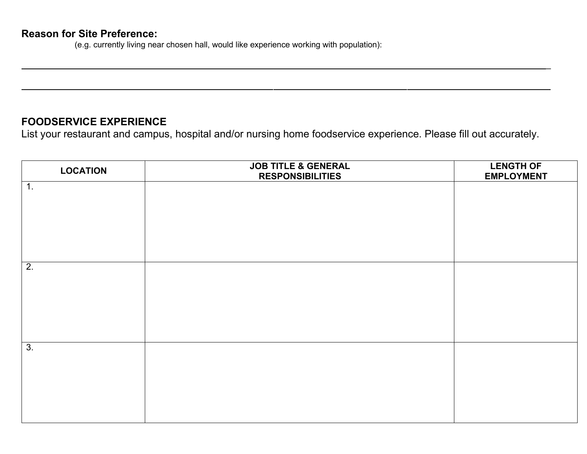(e.g. currently living near chosen hall, would like experience working with population):

## **FOODSERVICE EXPERIENCE**

List your restaurant and campus, hospital and/or nursing home foodservice experience. Please fill out accurately.

\_

| <b>LOCATION</b>  | <b>JOB TITLE &amp; GENERAL</b><br><b>RESPONSIBILITIES</b> | <b>LENGTH OF</b><br><b>EMPLOYMENT</b> |
|------------------|-----------------------------------------------------------|---------------------------------------|
| 1.               |                                                           |                                       |
|                  |                                                           |                                       |
|                  |                                                           |                                       |
|                  |                                                           |                                       |
| $\overline{2}$ . |                                                           |                                       |
|                  |                                                           |                                       |
|                  |                                                           |                                       |
|                  |                                                           |                                       |
| $\overline{3}$ . |                                                           |                                       |
|                  |                                                           |                                       |
|                  |                                                           |                                       |
|                  |                                                           |                                       |